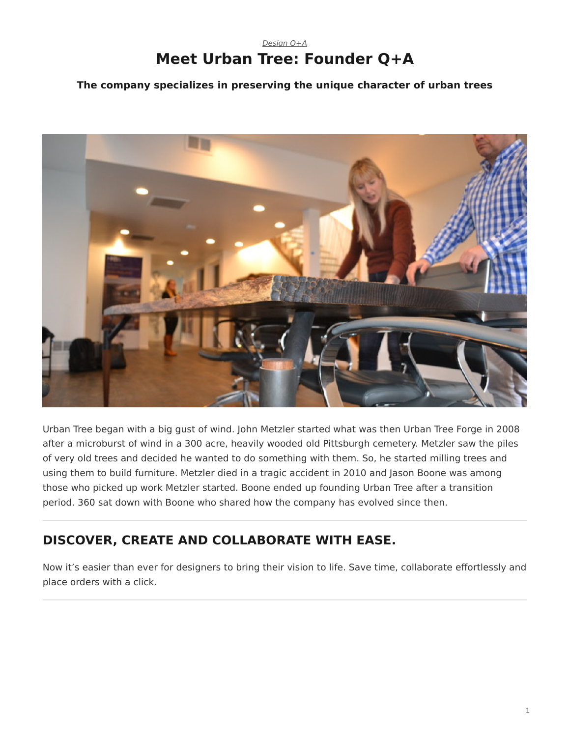# *[Design Q+A](https://www.steelcase.com/research/topics/design-q-a/)* **Meet Urban Tree: Founder Q+A**

<span id="page-0-0"></span>**The company specializes in preserving the unique character of urban trees**



Urban Tree began with a big gust of wind. John Metzler started what was then Urban Tree Forge in 2008 after a microburst of wind in a 300 acre, heavily wooded old Pittsburgh cemetery. Metzler saw the piles of very old trees and decided he wanted to do something with them. So, he started milling trees and using them to build furniture. Metzler died in a tragic accident in 2010 and Jason Boone was among those who picked up work Metzler started. Boone ended up founding Urban Tree after a transition period. 360 sat down with Boone who shared how the company has evolved since then.

# **DISCOVER, CREATE AND COLLABORATE WITH EASE.**

Now it's easier than ever for designers to bring their vision to life. Save time, collaborate effortlessly and place orders with a click.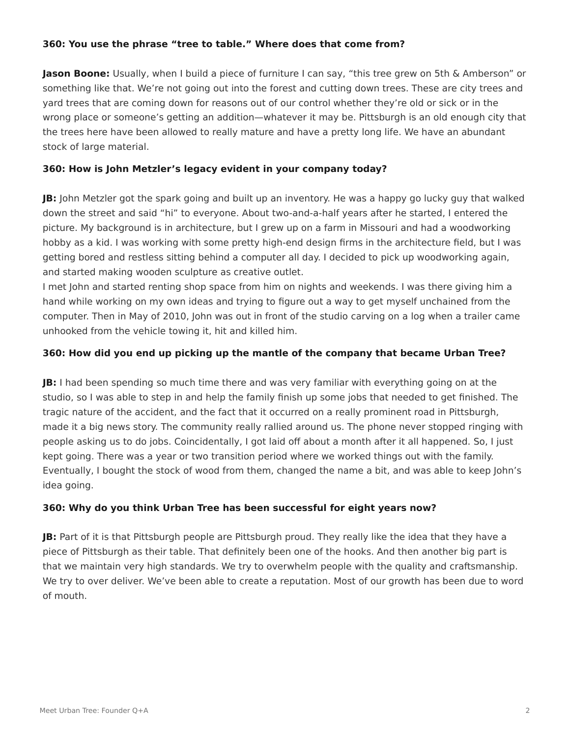## **360: You use the phrase "tree to table." Where does that come from?**

**Jason Boone:** Usually, when I build a piece of furniture I can say, "this tree grew on 5th & Amberson" or something like that. We're not going out into the forest and cutting down trees. These are city trees and yard trees that are coming down for reasons out of our control whether they're old or sick or in the wrong place or someone's getting an addition—whatever it may be. Pittsburgh is an old enough city that the trees here have been allowed to really mature and have a pretty long life. We have an abundant stock of large material.

## **360: How is John Metzler's legacy evident in your company today?**

**JB:** John Metzler got the spark going and built up an inventory. He was a happy go lucky guy that walked down the street and said "hi" to everyone. About two-and-a-half years after he started, I entered the picture. My background is in architecture, but I grew up on a farm in Missouri and had a woodworking hobby as a kid. I was working with some pretty high-end design firms in the architecture field, but I was getting bored and restless sitting behind a computer all day. I decided to pick up woodworking again, and started making wooden sculpture as creative outlet.

I met John and started renting shop space from him on nights and weekends. I was there giving him a hand while working on my own ideas and trying to figure out a way to get myself unchained from the computer. Then in May of 2010, John was out in front of the studio carving on a log when a trailer came unhooked from the vehicle towing it, hit and killed him.

## **360: How did you end up picking up the mantle of the company that became Urban Tree?**

**JB:** I had been spending so much time there and was very familiar with everything going on at the studio, so I was able to step in and help the family finish up some jobs that needed to get finished. The tragic nature of the accident, and the fact that it occurred on a really prominent road in Pittsburgh, made it a big news story. The community really rallied around us. The phone never stopped ringing with people asking us to do jobs. Coincidentally, I got laid off about a month after it all happened. So, I just kept going. There was a year or two transition period where we worked things out with the family. Eventually, I bought the stock of wood from them, changed the name a bit, and was able to keep John's idea going.

#### **360: Why do you think Urban Tree has been successful for eight years now?**

**JB:** Part of it is that Pittsburgh people are Pittsburgh proud. They really like the idea that they have a piece of Pittsburgh as their table. That definitely been one of the hooks. And then another big part is that we maintain very high standards. We try to overwhelm people with the quality and craftsmanship. We try to over deliver. We've been able to create a reputation. Most of our growth has been due to word of mouth.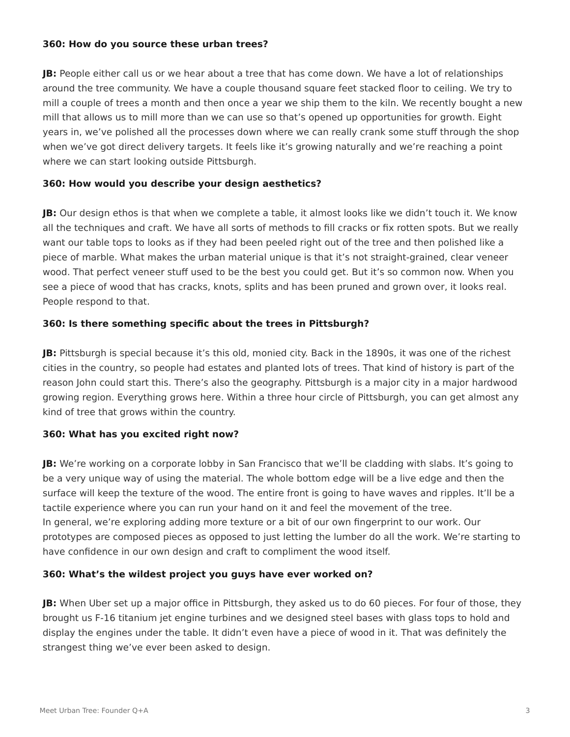#### **360: How do you source these urban trees?**

**JB:** People either call us or we hear about a tree that has come down. We have a lot of relationships around the tree community. We have a couple thousand square feet stacked floor to ceiling. We try to mill a couple of trees a month and then once a year we ship them to the kiln. We recently bought a new mill that allows us to mill more than we can use so that's opened up opportunities for growth. Eight years in, we've polished all the processes down where we can really crank some stuff through the shop when we've got direct delivery targets. It feels like it's growing naturally and we're reaching a point where we can start looking outside Pittsburgh.

## **360: How would you describe your design aesthetics?**

**JB:** Our design ethos is that when we complete a table, it almost looks like we didn't touch it. We know all the techniques and craft. We have all sorts of methods to fill cracks or fix rotten spots. But we really want our table tops to looks as if they had been peeled right out of the tree and then polished like a piece of marble. What makes the urban material unique is that it's not straight-grained, clear veneer wood. That perfect veneer stuff used to be the best you could get. But it's so common now. When you see a piece of wood that has cracks, knots, splits and has been pruned and grown over, it looks real. People respond to that.

## **360: Is there something specific about the trees in Pittsburgh?**

**JB:** Pittsburgh is special because it's this old, monied city. Back in the 1890s, it was one of the richest cities in the country, so people had estates and planted lots of trees. That kind of history is part of the reason John could start this. There's also the geography. Pittsburgh is a major city in a major hardwood growing region. Everything grows here. Within a three hour circle of Pittsburgh, you can get almost any kind of tree that grows within the country.

#### **360: What has you excited right now?**

**JB:** We're working on a corporate lobby in San Francisco that we'll be cladding with slabs. It's going to be a very unique way of using the material. The whole bottom edge will be a live edge and then the surface will keep the texture of the wood. The entire front is going to have waves and ripples. It'll be a tactile experience where you can run your hand on it and feel the movement of the tree. In general, we're exploring adding more texture or a bit of our own fingerprint to our work. Our prototypes are composed pieces as opposed to just letting the lumber do all the work. We're starting to have confidence in our own design and craft to compliment the wood itself.

#### **360: What's the wildest project you guys have ever worked on?**

**JB:** When Uber set up a major office in Pittsburgh, they asked us to do 60 pieces. For four of those, they brought us F-16 titanium jet engine turbines and we designed steel bases with glass tops to hold and display the engines under the table. It didn't even have a piece of wood in it. That was definitely the strangest thing we've ever been asked to design.